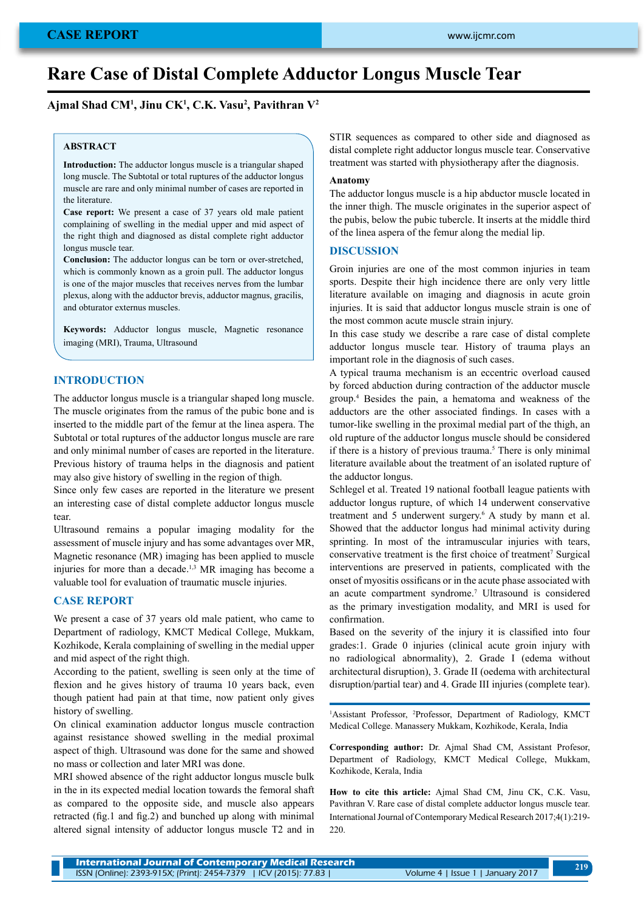# **Rare Case of Distal Complete Adductor Longus Muscle Tear**

**Ajmal Shad CM1 , Jinu CK1 , C.K. Vasu2 , Pavithran V2**

## **ABSTRACT**

**Introduction:** The adductor longus muscle is a triangular shaped long muscle. The Subtotal or total ruptures of the adductor longus muscle are rare and only minimal number of cases are reported in the literature.

**Case report:** We present a case of 37 years old male patient complaining of swelling in the medial upper and mid aspect of the right thigh and diagnosed as distal complete right adductor longus muscle tear.

**Conclusion:** The adductor longus can be torn or over-stretched, which is commonly known as a groin pull. The adductor longus is one of the major muscles that receives nerves from the lumbar plexus, along with the adductor brevis, adductor magnus, gracilis, and obturator externus muscles.

**Keywords:** Adductor longus muscle, Magnetic resonance imaging (MRI), Trauma, Ultrasound

# **INTRODUCTION**

The adductor longus muscle is a triangular shaped long muscle. The muscle originates from the ramus of the pubic bone and is inserted to the middle part of the femur at the linea aspera. The Subtotal or total ruptures of the adductor longus muscle are rare and only minimal number of cases are reported in the literature. Previous history of trauma helps in the diagnosis and patient may also give history of swelling in the region of thigh.

Since only few cases are reported in the literature we present an interesting case of distal complete adductor longus muscle tear.

Ultrasound remains a popular imaging modality for the assessment of muscle injury and has some advantages over MR, Magnetic resonance (MR) imaging has been applied to muscle injuries for more than a decade.1,3 MR imaging has become a valuable tool for evaluation of traumatic muscle injuries.

## **CASE REPORT**

We present a case of 37 years old male patient, who came to Department of radiology, KMCT Medical College, Mukkam, Kozhikode, Kerala complaining of swelling in the medial upper and mid aspect of the right thigh.

According to the patient, swelling is seen only at the time of flexion and he gives history of trauma 10 years back, even though patient had pain at that time, now patient only gives history of swelling.

On clinical examination adductor longus muscle contraction against resistance showed swelling in the medial proximal aspect of thigh. Ultrasound was done for the same and showed no mass or collection and later MRI was done.

MRI showed absence of the right adductor longus muscle bulk in the in its expected medial location towards the femoral shaft as compared to the opposite side, and muscle also appears retracted (fig.1 and fig.2) and bunched up along with minimal altered signal intensity of adductor longus muscle T2 and in STIR sequences as compared to other side and diagnosed as distal complete right adductor longus muscle tear. Conservative treatment was started with physiotherapy after the diagnosis.

#### **Anatomy**

The adductor longus muscle is a hip abductor muscle located in the inner thigh. The muscle originates in the superior aspect of the pubis, below the pubic tubercle. It inserts at the middle third of the linea aspera of the femur along the medial lip.

#### **DISCUSSION**

Groin injuries are one of the most common injuries in team sports. Despite their high incidence there are only very little literature available on imaging and diagnosis in acute groin injuries. It is said that adductor longus muscle strain is one of the most common acute muscle strain injury.

In this case study we describe a rare case of distal complete adductor longus muscle tear. History of trauma plays an important role in the diagnosis of such cases.

A typical trauma mechanism is an eccentric overload caused by forced abduction during contraction of the adductor muscle group.4 Besides the pain, a hematoma and weakness of the adductors are the other associated findings. In cases with a tumor-like swelling in the proximal medial part of the thigh, an old rupture of the adductor longus muscle should be considered if there is a history of previous trauma.<sup>5</sup> There is only minimal literature available about the treatment of an isolated rupture of the adductor longus.

Schlegel et al. Treated 19 national football league patients with adductor longus rupture, of which 14 underwent conservative treatment and 5 underwent surgery.6 A study by mann et al. Showed that the adductor longus had minimal activity during sprinting. In most of the intramuscular injuries with tears, conservative treatment is the first choice of treatment<sup>7</sup> Surgical interventions are preserved in patients, complicated with the onset of myositis ossificans or in the acute phase associated with an acute compartment syndrome.7 Ultrasound is considered as the primary investigation modality, and MRI is used for confirmation.

Based on the severity of the injury it is classified into four grades:1. Grade 0 injuries (clinical acute groin injury with no radiological abnormality), 2. Grade I (edema without architectural disruption), 3. Grade II (oedema with architectural disruption/partial tear) and 4. Grade III injuries (complete tear).

1 Assistant Professor, <sup>2</sup> Professor, Department of Radiology, KMCT Medical College. Manassery Mukkam, Kozhikode, Kerala, India

**Corresponding author:** Dr. Ajmal Shad CM, Assistant Profesor, Department of Radiology, KMCT Medical College, Mukkam, Kozhikode, Kerala, India

**How to cite this article:** Ajmal Shad CM, Jinu CK, C.K. Vasu, Pavithran V. Rare case of distal complete adductor longus muscle tear. International Journal of Contemporary Medical Research 2017;4(1):219- 220.